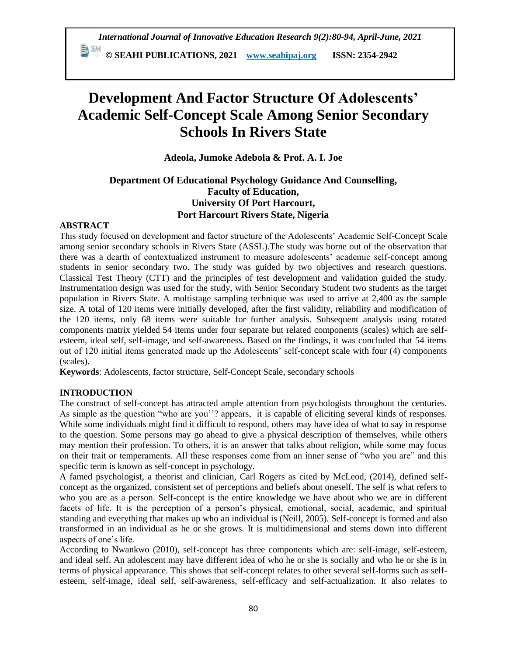*International Journal of Innovative Education Research 9(2):80-94, April-June, 2021*

 **© SEAHI PUBLICATIONS, 2021 [www.seahipaj.org](http://www.seahipaj.org/) ISSN: 2354-2942**

# **Development And Factor Structure Of Adolescents' Academic Self-Concept Scale Among Senior Secondary Schools In Rivers State**

**Adeola, Jumoke Adebola & Prof. A. I. Joe**

# **Department Of Educational Psychology Guidance And Counselling, Faculty of Education, University Of Port Harcourt, Port Harcourt Rivers State, Nigeria**

#### **ABSTRACT**

This study focused on development and factor structure of the Adolescents' Academic Self-Concept Scale among senior secondary schools in Rivers State (ASSL).The study was borne out of the observation that there was a dearth of contextualized instrument to measure adolescents' academic self-concept among students in senior secondary two. The study was guided by two objectives and research questions. Classical Test Theory (CTT) and the principles of test development and validation guided the study. Instrumentation design was used for the study, with Senior Secondary Student two students as the target population in Rivers State. A multistage sampling technique was used to arrive at 2,400 as the sample size. A total of 120 items were initially developed, after the first validity, reliability and modification of the 120 items, only 68 items were suitable for further analysis. Subsequent analysis using rotated components matrix yielded 54 items under four separate but related components (scales) which are selfesteem, ideal self, self-image, and self-awareness. Based on the findings, it was concluded that 54 items out of 120 initial items generated made up the Adolescents' self-concept scale with four (4) components (scales).

**Keywords**: Adolescents, factor structure, Self-Concept Scale, secondary schools

# **INTRODUCTION**

The construct of self-concept has attracted ample attention from psychologists throughout the centuries. As simple as the question "who are you"? appears, it is capable of eliciting several kinds of responses. While some individuals might find it difficult to respond, others may have idea of what to say in response to the question. Some persons may go ahead to give a physical description of themselves, while others may mention their profession. To others, it is an answer that talks about religion, while some may focus on their trait or temperaments. All these responses come from an inner sense of "who you are" and this specific term is known as self-concept in psychology.

A famed psychologist, a theorist and clinician, Carl Rogers as cited by McLeod, (2014), defined selfconcept as the organized, consistent set of perceptions and beliefs about oneself. The self is what refers to who you are as a person. Self-concept is the entire knowledge we have about who we are in different facets of life. It is the perception of a person's physical, emotional, social, academic, and spiritual standing and everything that makes up who an individual is (Neill, 2005). Self-concept is formed and also transformed in an individual as he or she grows. It is multidimensional and stems down into different aspects of one's life.

According to Nwankwo (2010), self-concept has three components which are: self-image, self-esteem, and ideal self. An adolescent may have different idea of who he or she is socially and who he or she is in terms of physical appearance. This shows that self-concept relates to other several self-forms such as selfesteem, self-image, ideal self, self-awareness, self-efficacy and self-actualization. It also relates to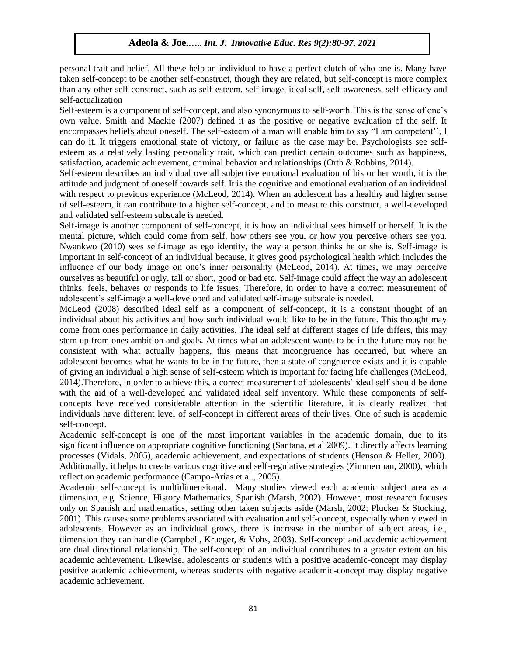personal trait and belief. All these help an individual to have a perfect clutch of who one is. Many have taken self-concept to be another self-construct, though they are related, but self-concept is more complex than any other self-construct, such as self-esteem, self-image, ideal self, self-awareness, self-efficacy and self-actualization

Self-esteem is a component of self-concept, and also synonymous to self-worth. This is the sense of one's own value. Smith and Mackie (2007) defined it as the positive or negative evaluation of the self. It encompasses beliefs about oneself. The self-esteem of a man will enable him to say "I am competent'', I can do it. It triggers emotional state of victory, or failure as the case may be. Psychologists see selfesteem as a relatively lasting personality trait, which can predict certain outcomes such as happiness, satisfaction, academic achievement, criminal behavior and relationships (Orth & Robbins, 2014).

Self-esteem describes an individual overall subjective emotional evaluation of his or her worth, it is the attitude and judgment of oneself towards self. It is the cognitive and emotional evaluation of an individual with respect to previous experience (McLeod, 2014). When an adolescent has a healthy and higher sense of self-esteem, it can contribute to a higher self-concept, and to measure this construct, a well-developed and validated self-esteem subscale is needed.

Self-image is another component of self-concept, it is how an individual sees himself or herself. It is the mental picture, which could come from self, how others see you, or how you perceive others see you. Nwankwo (2010) sees self-image as ego identity, the way a person thinks he or she is. Self-image is important in self-concept of an individual because, it gives good psychological health which includes the influence of our body image on one's inner personality (McLeod, 2014). At times, we may perceive ourselves as beautiful or ugly, tall or short, good or bad etc. Self-image could affect the way an adolescent thinks, feels, behaves or responds to life issues. Therefore, in order to have a correct measurement of adolescent's self-image a well-developed and validated self-image subscale is needed.

McLeod (2008) described ideal self as a component of self-concept, it is a constant thought of an individual about his activities and how such individual would like to be in the future. This thought may come from ones performance in daily activities. The ideal self at different stages of life differs, this may stem up from ones ambition and goals. At times what an adolescent wants to be in the future may not be consistent with what actually happens, this means that incongruence has occurred, but where an adolescent becomes what he wants to be in the future, then a state of congruence exists and it is capable of giving an individual a high sense of self-esteem which is important for facing life challenges (McLeod, 2014).Therefore, in order to achieve this, a correct measurement of adolescents' ideal self should be done with the aid of a well-developed and validated ideal self inventory. While these components of selfconcepts have received considerable attention in the scientific literature, it is clearly realized that individuals have different level of self-concept in different areas of their lives. One of such is academic self-concept.

Academic self-concept is one of the most important variables in the academic domain, due to its significant influence on appropriate cognitive functioning (Santana, et al 2009). It directly affects learning processes (Vidals, 2005), academic achievement, and expectations of students (Henson & Heller, 2000). Additionally, it helps to create various cognitive and self-regulative strategies (Zimmerman, 2000), which reflect on academic performance (Campo-Arias et al., 2005).

Academic self-concept is multidimensional. Many studies viewed each academic subject area as a dimension, e.g. Science, History Mathematics, Spanish (Marsh, 2002). However, most research focuses only on Spanish and mathematics, setting other taken subjects aside (Marsh, 2002; Plucker & Stocking, 2001). This causes some problems associated with evaluation and self-concept, especially when viewed in adolescents. However as an individual grows, there is increase in the number of subject areas, i.e., dimension they can handle (Campbell, Krueger, & Vohs, 2003). Self-concept and academic achievement are dual directional relationship. The self-concept of an individual contributes to a greater extent on his academic achievement. Likewise, adolescents or students with a positive academic-concept may display positive academic achievement, whereas students with negative academic-concept may display negative academic achievement.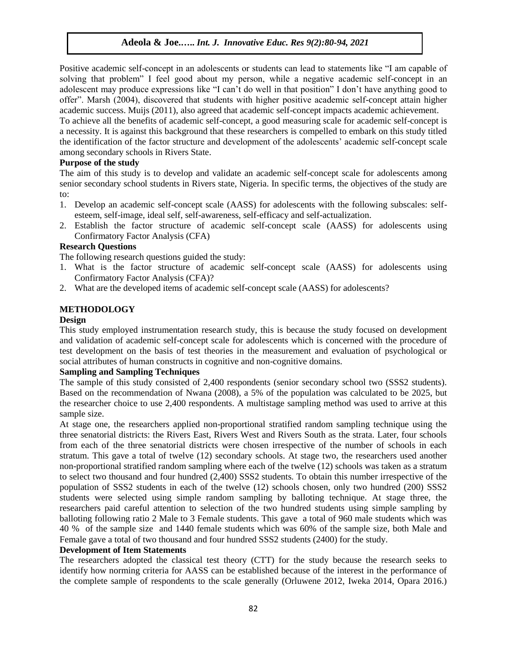Positive academic self-concept in an adolescents or students can lead to statements like "I am capable of solving that problem" I feel good about my person, while a negative academic self-concept in an adolescent may produce expressions like "I can't do well in that position" I don't have anything good to offer". Marsh (2004), discovered that students with higher positive academic self-concept attain higher academic success. Muijs (2011), also agreed that academic self-concept impacts academic achievement.

To achieve all the benefits of academic self-concept, a good measuring scale for academic self-concept is a necessity. It is against this background that these researchers is compelled to embark on this study titled the identification of the factor structure and development of the adolescents' academic self-concept scale among secondary schools in Rivers State.

## **Purpose of the study**

The aim of this study is to develop and validate an academic self-concept scale for adolescents among senior secondary school students in Rivers state, Nigeria. In specific terms, the objectives of the study are to:

- 1. Develop an academic self-concept scale (AASS) for adolescents with the following subscales: selfesteem, self-image, ideal self, self-awareness, self-efficacy and self-actualization.
- 2. Establish the factor structure of academic self-concept scale (AASS) for adolescents using Confirmatory Factor Analysis (CFA)

# **Research Questions**

The following research questions guided the study:

- 1. What is the factor structure of academic self-concept scale (AASS) for adolescents using Confirmatory Factor Analysis (CFA)?
- 2. What are the developed items of academic self-concept scale (AASS) for adolescents?

# **METHODOLOGY**

#### **Design**

This study employed instrumentation research study, this is because the study focused on development and validation of academic self-concept scale for adolescents which is concerned with the procedure of test development on the basis of test theories in the measurement and evaluation of psychological or social attributes of human constructs in cognitive and non-cognitive domains.

#### **Sampling and Sampling Techniques**

The sample of this study consisted of 2,400 respondents (senior secondary school two (SSS2 students). Based on the recommendation of Nwana (2008), a 5% of the population was calculated to be 2025, but the researcher choice to use 2,400 respondents. A multistage sampling method was used to arrive at this sample size.

At stage one, the researchers applied non-proportional stratified random sampling technique using the three senatorial districts: the Rivers East, Rivers West and Rivers South as the strata. Later, four schools from each of the three senatorial districts were chosen irrespective of the number of schools in each stratum. This gave a total of twelve (12) secondary schools. At stage two, the researchers used another non-proportional stratified random sampling where each of the twelve (12) schools was taken as a stratum to select two thousand and four hundred (2,400) SSS2 students. To obtain this number irrespective of the population of SSS2 students in each of the twelve (12) schools chosen, only two hundred (200) SSS2 students were selected using simple random sampling by balloting technique. At stage three, the researchers paid careful attention to selection of the two hundred students using simple sampling by balloting following ratio 2 Male to 3 Female students. This gave a total of 960 male students which was 40 % of the sample size and 1440 female students which was 60% of the sample size, both Male and Female gave a total of two thousand and four hundred SSS2 students (2400) for the study.

#### **Development of Item Statements**

The researchers adopted the classical test theory (CTT) for the study because the research seeks to identify how norming criteria for AASS can be established because of the interest in the performance of the complete sample of respondents to the scale generally (Orluwene 2012, Iweka 2014, Opara 2016.)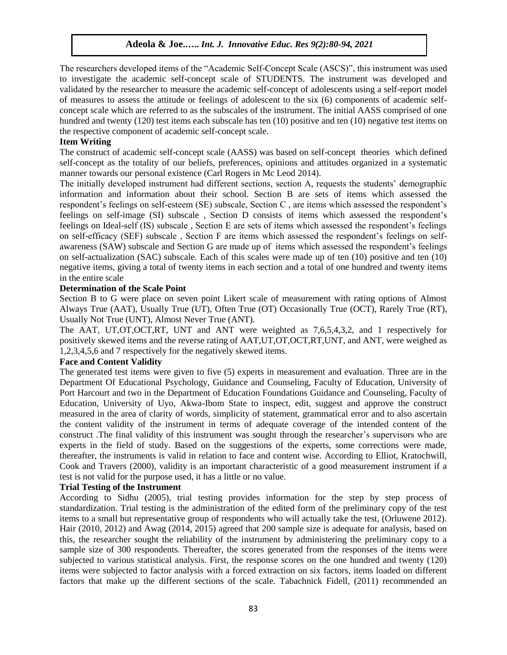The researchers developed items of the "Academic Self-Concept Scale (ASCS)", this instrument was used to investigate the academic self-concept scale of STUDENTS. The instrument was developed and validated by the researcher to measure the academic self-concept of adolescents using a self-report model of measures to assess the attitude or feelings of adolescent to the six (6) components of academic selfconcept scale which are referred to as the subscales of the instrument. The initial AASS comprised of one hundred and twenty (120) test items each subscale has ten (10) positive and ten (10) negative test items on the respective component of academic self-concept scale.

#### **Item Writing**

The construct of academic self-concept scale (AASS) was based on self-concept theories which defined self-concept as the totality of our beliefs, preferences, opinions and attitudes organized in a systematic manner towards our personal existence (Carl Rogers in Mc Leod 2014).

The initially developed instrument had different sections, section A, requests the students' demographic information and information about their school. Section B are sets of items which assessed the respondent's feelings on self-esteem (SE) subscale, Section C , are items which assessed the respondent's feelings on self-image (SI) subscale , Section D consists of items which assessed the respondent's feelings on Ideal-self (IS) subscale , Section E are sets of items which assessed the respondent's feelings on self-efficacy (SEF) subscale , Section F are items which assessed the respondent's feelings on selfawareness (SAW) subscale and Section G are made up of items which assessed the respondent's feelings on self-actualization (SAC) subscale. Each of this scales were made up of ten (10) positive and ten (10) negative items, giving a total of twenty items in each section and a total of one hundred and twenty items in the entire scale

#### **Determination of the Scale Point**

Section B to G were place on seven point Likert scale of measurement with rating options of Almost Always True (AAT), Usually True (UT), Often True (OT) Occasionally True (OCT), Rarely True (RT), Usually Not True (UNT), Almost Never True (ANT).

The AAT, UT,OT,OCT,RT, UNT and ANT were weighted as 7,6,5,4,3,2, and 1 respectively for positively skewed items and the reverse rating of AAT,UT,OT,OCT,RT,UNT, and ANT, were weighed as 1,2,3,4,5,6 and 7 respectively for the negatively skewed items.

# **Face and Content Validity**

The generated test items were given to five (5) experts in measurement and evaluation. Three are in the Department Of Educational Psychology, Guidance and Counseling, Faculty of Education, University of Port Harcourt and two in the Department of Education Foundations Guidance and Counseling, Faculty of Education, University of Uyo, Akwa-Ibom State to inspect, edit, suggest and approve the construct measured in the area of clarity of words, simplicity of statement, grammatical error and to also ascertain the content validity of the instrument in terms of adequate coverage of the intended content of the construct .The final validity of this instrument was sought through the researcher's supervisors who are experts in the field of study. Based on the suggestions of the experts, some corrections were made, thereafter, the instruments is valid in relation to face and content wise. According to Elliot, Kratochwill, Cook and Travers (2000), validity is an important characteristic of a good measurement instrument if a test is not valid for the purpose used, it has a little or no value.

#### **Trial Testing of the Instrument**

According to Sidhu (2005), trial testing provides information for the step by step process of standardization. Trial testing is the administration of the edited form of the preliminary copy of the test items to a small but representative group of respondents who will actually take the test, (Orluwene 2012). Hair (2010, 2012) and Awag (2014, 2015) agreed that 200 sample size is adequate for analysis, based on this, the researcher sought the reliability of the instrument by administering the preliminary copy to a sample size of 300 respondents. Thereafter, the scores generated from the responses of the items were subjected to various statistical analysis. First, the response scores on the one hundred and twenty (120) items were subjected to factor analysis with a forced extraction on six factors, items loaded on different factors that make up the different sections of the scale. Tabachnick Fidell, (2011) recommended an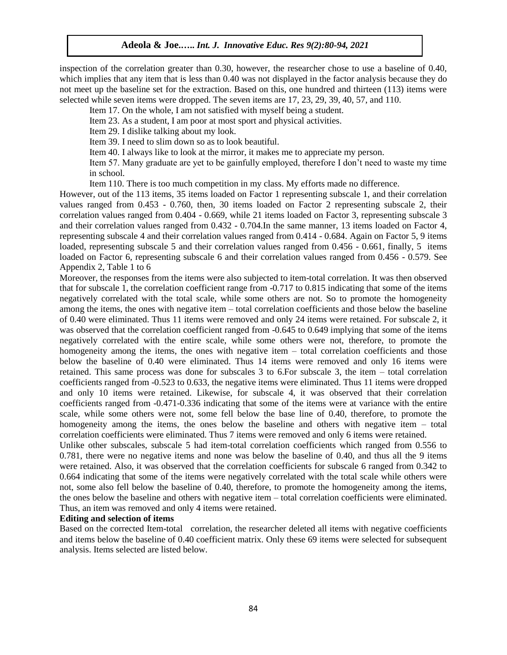inspection of the correlation greater than 0.30, however, the researcher chose to use a baseline of 0.40, which implies that any item that is less than 0.40 was not displayed in the factor analysis because they do not meet up the baseline set for the extraction. Based on this, one hundred and thirteen (113) items were selected while seven items were dropped. The seven items are 17, 23, 29, 39, 40, 57, and 110.

Item 17. On the whole, I am not satisfied with myself being a student.

Item 23. As a student, I am poor at most sport and physical activities.

Item 29. I dislike talking about my look.

Item 39. I need to slim down so as to look beautiful.

Item 40. I always like to look at the mirror, it makes me to appreciate my person.

Item 57. Many graduate are yet to be gainfully employed, therefore I don't need to waste my time in school.

Item 110. There is too much competition in my class. My efforts made no difference.

However, out of the 113 items, 35 items loaded on Factor 1 representing subscale 1, and their correlation values ranged from 0.453 - 0.760, then, 30 items loaded on Factor 2 representing subscale 2, their correlation values ranged from 0.404 - 0.669, while 21 items loaded on Factor 3, representing subscale 3 and their correlation values ranged from 0.432 - 0.704.In the same manner, 13 items loaded on Factor 4, representing subscale 4 and their correlation values ranged from 0.414 - 0.684. Again on Factor 5, 9 items loaded, representing subscale 5 and their correlation values ranged from 0.456 - 0.661, finally, 5 items loaded on Factor 6, representing subscale 6 and their correlation values ranged from 0.456 - 0.579. See Appendix 2, Table 1 to 6

Moreover, the responses from the items were also subjected to item-total correlation. It was then observed that for subscale 1, the correlation coefficient range from -0.717 to 0.815 indicating that some of the items negatively correlated with the total scale, while some others are not. So to promote the homogeneity among the items, the ones with negative item – total correlation coefficients and those below the baseline of 0.40 were eliminated. Thus 11 items were removed and only 24 items were retained. For subscale 2, it was observed that the correlation coefficient ranged from -0.645 to 0.649 implying that some of the items negatively correlated with the entire scale, while some others were not, therefore, to promote the homogeneity among the items, the ones with negative item – total correlation coefficients and those below the baseline of 0.40 were eliminated. Thus 14 items were removed and only 16 items were retained. This same process was done for subscales 3 to 6.For subscale 3, the item – total correlation coefficients ranged from -0.523 to 0.633, the negative items were eliminated. Thus 11 items were dropped and only 10 items were retained. Likewise, for subscale 4, it was observed that their correlation coefficients ranged from -0.471-0.336 indicating that some of the items were at variance with the entire scale, while some others were not, some fell below the base line of 0.40, therefore, to promote the homogeneity among the items, the ones below the baseline and others with negative item – total correlation coefficients were eliminated. Thus 7 items were removed and only 6 items were retained.

Unlike other subscales, subscale 5 had item-total correlation coefficients which ranged from 0.556 to 0.781, there were no negative items and none was below the baseline of 0.40, and thus all the 9 items were retained. Also, it was observed that the correlation coefficients for subscale 6 ranged from 0.342 to 0.664 indicating that some of the items were negatively correlated with the total scale while others were not, some also fell below the baseline of 0.40, therefore, to promote the homogeneity among the items, the ones below the baseline and others with negative item – total correlation coefficients were eliminated. Thus, an item was removed and only 4 items were retained.

# **Editing and selection of items**

Based on the corrected Item-total correlation, the researcher deleted all items with negative coefficients and items below the baseline of 0.40 coefficient matrix. Only these 69 items were selected for subsequent analysis. Items selected are listed below.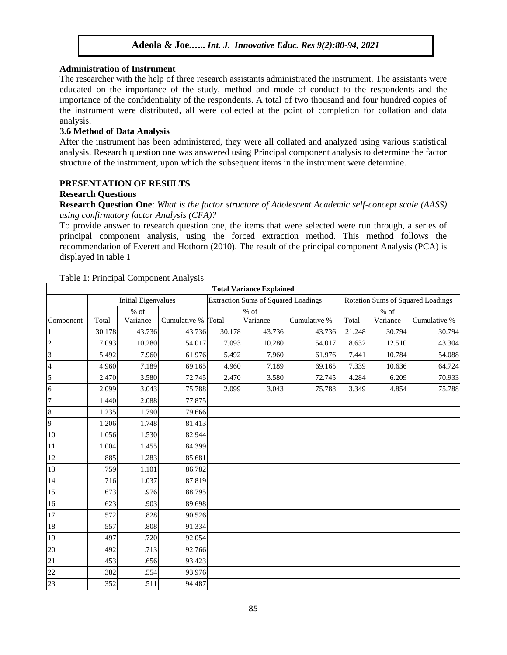#### **Administration of Instrument**

The researcher with the help of three research assistants administrated the instrument. The assistants were educated on the importance of the study, method and mode of conduct to the respondents and the importance of the confidentiality of the respondents. A total of two thousand and four hundred copies of the instrument were distributed, all were collected at the point of completion for collation and data analysis.

#### **3.6 Method of Data Analysis**

After the instrument has been administered, they were all collated and analyzed using various statistical analysis. Research question one was answered using Principal component analysis to determine the factor structure of the instrument, upon which the subsequent items in the instrument were determine.

# **PRESENTATION OF RESULTS**

#### **Research Questions**

**Research Question One**: *What is the factor structure of Adolescent Academic self-concept scale (AASS) using confirmatory factor Analysis (CFA)?*

To provide answer to research question one, the items that were selected were run through, a series of principal component analysis, using the forced extraction method. This method follows the recommendation of Everett and Hothorn (2010). The result of the principal component Analysis (PCA) is displayed in table 1

T.

|                |        |                            |              |        | <b>Total Variance Explained</b>            |              |        |                    |                                   |
|----------------|--------|----------------------------|--------------|--------|--------------------------------------------|--------------|--------|--------------------|-----------------------------------|
|                |        | <b>Initial Eigenvalues</b> |              |        | <b>Extraction Sums of Squared Loadings</b> |              |        |                    | Rotation Sums of Squared Loadings |
| Component      | Total  | $\%$ of<br>Variance        | Cumulative % | Total  | $%$ of<br>Variance                         | Cumulative % | Total  | $%$ of<br>Variance | Cumulative %                      |
|                | 30.178 | 43.736                     | 43.736       | 30.178 | 43.736                                     | 43.736       | 21.248 | 30.794             | 30.794                            |
| $\overline{2}$ | 7.093  | 10.280                     | 54.017       | 7.093  | 10.280                                     | 54.017       | 8.632  | 12.510             | 43.304                            |
| $\overline{3}$ | 5.492  | 7.960                      | 61.976       | 5.492  | 7.960                                      | 61.976       | 7.441  | 10.784             | 54.088                            |
| $\overline{4}$ | 4.960  | 7.189                      | 69.165       | 4.960  | 7.189                                      | 69.165       | 7.339  | 10.636             | 64.724                            |
| 5              | 2.470  | 3.580                      | 72.745       | 2.470  | 3.580                                      | 72.745       | 4.284  | 6.209              | 70.933                            |
| 6              | 2.099  | 3.043                      | 75.788       | 2.099  | 3.043                                      | 75.788       | 3.349  | 4.854              | 75.788                            |
| 7              | 1.440  | 2.088                      | 77.875       |        |                                            |              |        |                    |                                   |
| $\bf 8$        | 1.235  | 1.790                      | 79.666       |        |                                            |              |        |                    |                                   |
| 9              | 1.206  | 1.748                      | 81.413       |        |                                            |              |        |                    |                                   |
| 10             | 1.056  | 1.530                      | 82.944       |        |                                            |              |        |                    |                                   |
| 11             | 1.004  | 1.455                      | 84.399       |        |                                            |              |        |                    |                                   |
| 12             | .885   | 1.283                      | 85.681       |        |                                            |              |        |                    |                                   |
| 13             | .759   | 1.101                      | 86.782       |        |                                            |              |        |                    |                                   |
| 14             | .716   | 1.037                      | 87.819       |        |                                            |              |        |                    |                                   |
| 15             | .673   | .976                       | 88.795       |        |                                            |              |        |                    |                                   |
| 16             | .623   | .903                       | 89.698       |        |                                            |              |        |                    |                                   |
| 17             | .572   | .828                       | 90.526       |        |                                            |              |        |                    |                                   |
| 18             | .557   | .808                       | 91.334       |        |                                            |              |        |                    |                                   |
| 19             | .497   | .720                       | 92.054       |        |                                            |              |        |                    |                                   |
| 20             | .492   | .713                       | 92.766       |        |                                            |              |        |                    |                                   |
| 21             | .453   | .656                       | 93.423       |        |                                            |              |        |                    |                                   |
| 22             | .382   | .554                       | 93.976       |        |                                            |              |        |                    |                                   |
| 23             | .352   | .511                       | 94.487       |        |                                            |              |        |                    |                                   |

Table 1: Principal Component Analysis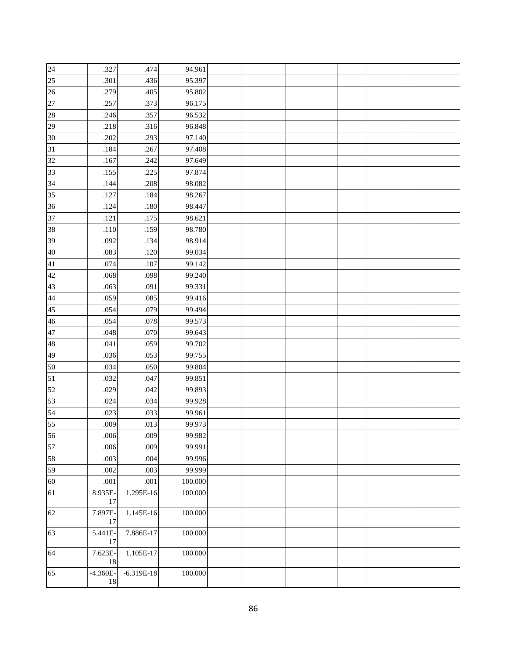| 24 | .327             | .474         | 94.961  |  |  |  |
|----|------------------|--------------|---------|--|--|--|
| 25 | .301             | .436         | 95.397  |  |  |  |
| 26 | .279             | .405         | 95.802  |  |  |  |
| 27 | .257             | .373         | 96.175  |  |  |  |
| 28 | .246             | .357         | 96.532  |  |  |  |
| 29 | .218             | .316         | 96.848  |  |  |  |
| 30 | .202             | .293         | 97.140  |  |  |  |
| 31 | .184             | .267         | 97.408  |  |  |  |
| 32 | .167             | .242         | 97.649  |  |  |  |
| 33 | .155             | .225         | 97.874  |  |  |  |
| 34 | .144             | .208         | 98.082  |  |  |  |
| 35 | .127             | .184         | 98.267  |  |  |  |
| 36 | .124             | $.180\,$     | 98.447  |  |  |  |
| 37 | .121             | .175         | 98.621  |  |  |  |
| 38 | $.110$           | .159         | 98.780  |  |  |  |
| 39 | .092             | .134         | 98.914  |  |  |  |
| 40 | .083             | .120         | 99.034  |  |  |  |
| 41 | .074             | .107         | 99.142  |  |  |  |
| 42 | .068             | .098         | 99.240  |  |  |  |
| 43 | .063             | .091         | 99.331  |  |  |  |
| 44 | .059             | .085         | 99.416  |  |  |  |
| 45 | .054             | .079         | 99.494  |  |  |  |
| 46 | .054             | $.078\,$     | 99.573  |  |  |  |
| 47 | .048             | .070         | 99.643  |  |  |  |
| 48 | .041             | .059         | 99.702  |  |  |  |
| 49 | .036             | .053         | 99.755  |  |  |  |
| 50 | .034             | .050         | 99.804  |  |  |  |
| 51 | .032             | .047         | 99.851  |  |  |  |
| 52 | .029             | .042         | 99.893  |  |  |  |
| 53 | .024             | .034         | 99.928  |  |  |  |
| 54 | .023             | .033         | 99.961  |  |  |  |
| 55 | .009             | .013         | 99.973  |  |  |  |
| 56 | $.006$           | .009         | 99.982  |  |  |  |
| 57 | .006             | .009         | 99.991  |  |  |  |
| 58 | .003             | $.004$       | 99.996  |  |  |  |
| 59 | .002             | .003         | 99.999  |  |  |  |
| 60 | .001             | .001         | 100.000 |  |  |  |
| 61 | 8.935E-<br>17    | 1.295E-16    | 100.000 |  |  |  |
| 62 | 7.897E-<br>17    | 1.145E-16    | 100.000 |  |  |  |
| 63 | 5.441E-<br>17    | 7.886E-17    | 100.000 |  |  |  |
| 64 | 7.623E-<br>18    | 1.105E-17    | 100.000 |  |  |  |
| 65 | $-4.360E-$<br>18 | $-6.319E-18$ | 100.000 |  |  |  |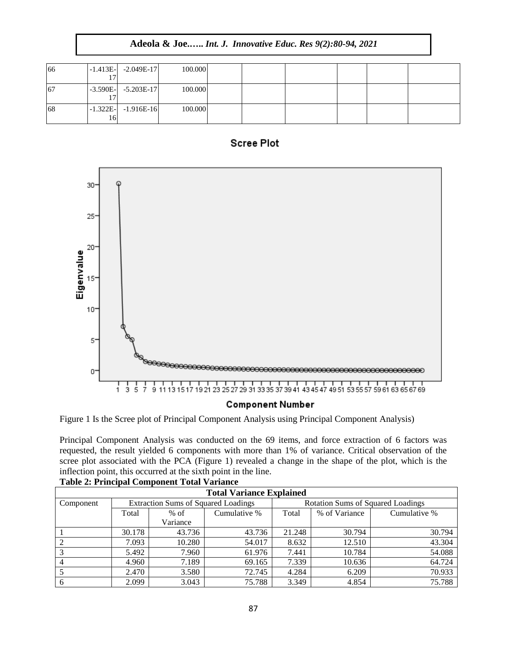|  | <b>Adeola &amp; Joe Int. J. Innovative Educ. Res 9(2):80-94, 2021</b> |
|--|-----------------------------------------------------------------------|
|--|-----------------------------------------------------------------------|

| 66  |    | $-1.413E - 2.049E - 17$ | 100.000 |  |  |  |
|-----|----|-------------------------|---------|--|--|--|
|     |    |                         |         |  |  |  |
| -67 |    | $-3.590E - 5.203E - 17$ | 100.000 |  |  |  |
|     |    |                         |         |  |  |  |
| 68  |    | $-1.322E - 1.916E - 16$ | 100.000 |  |  |  |
|     | 16 |                         |         |  |  |  |





# **Component Number**

Figure 1 Is the Scree plot of Principal Component Analysis using Principal Component Analysis)

Principal Component Analysis was conducted on the 69 items, and force extraction of 6 factors was requested, the result yielded 6 components with more than 1% of variance. Critical observation of the scree plot associated with the PCA (Figure 1) revealed a change in the shape of the plot, which is the inflection point, this occurred at the sixth point in the line.

| <b>Total Variance Explained</b> |                                            |          |              |                                          |               |              |  |  |
|---------------------------------|--------------------------------------------|----------|--------------|------------------------------------------|---------------|--------------|--|--|
| Component                       | <b>Extraction Sums of Squared Loadings</b> |          |              | <b>Rotation Sums of Squared Loadings</b> |               |              |  |  |
|                                 | Total                                      | $%$ of   | Cumulative % | Total                                    | % of Variance | Cumulative % |  |  |
|                                 |                                            | Variance |              |                                          |               |              |  |  |
|                                 | 30.178                                     | 43.736   | 43.736       | 21.248                                   | 30.794        | 30.794       |  |  |
|                                 | 7.093                                      | 10.280   | 54.017       | 8.632                                    | 12.510        | 43.304       |  |  |
|                                 | 5.492                                      | 7.960    | 61.976       | 7.441                                    | 10.784        | 54.088       |  |  |
|                                 | 4.960                                      | 7.189    | 69.165       | 7.339                                    | 10.636        | 64.724       |  |  |
|                                 | 2.470                                      | 3.580    | 72.745       | 4.284                                    | 6.209         | 70.933       |  |  |
| 6                               | 2.099                                      | 3.043    | 75.788       | 3.349                                    | 4.854         | 75.788       |  |  |

# **Table 2: Principal Component Total Variance**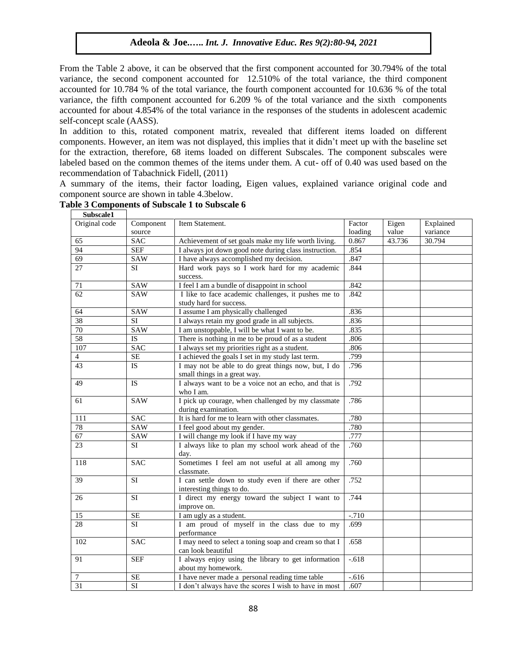From the Table 2 above, it can be observed that the first component accounted for 30.794% of the total variance, the second component accounted for 12.510% of the total variance, the third component accounted for 10.784 % of the total variance, the fourth component accounted for 10.636 % of the total variance, the fifth component accounted for 6.209 % of the total variance and the sixth components accounted for about 4.854% of the total variance in the responses of the students in adolescent academic self-concept scale (AASS).

In addition to this, rotated component matrix, revealed that different items loaded on different components. However, an item was not displayed, this implies that it didn't meet up with the baseline set for the extraction, therefore, 68 items loaded on different Subscales. The component subscales were labeled based on the common themes of the items under them. A cut- off of 0.40 was used based on the recommendation of Tabachnick Fidell, (2011)

A summary of the items, their factor loading, Eigen values, explained variance original code and component source are shown in table 4.3below.

| Subscale1       |                 |                                                        |          |        |           |
|-----------------|-----------------|--------------------------------------------------------|----------|--------|-----------|
| Original code   | Component       | Item Statement.                                        | Factor   | Eigen  | Explained |
|                 | source          |                                                        | loading  | value  | variance  |
| 65              | <b>SAC</b>      | Achievement of set goals make my life worth living.    | 0.867    | 43.736 | 30.794    |
| $\overline{94}$ | <b>SEF</b>      | I always jot down good note during class instruction.  | .854     |        |           |
| 69              | SAW             | I have always accomplished my decision.                | .847     |        |           |
| 27              | <b>SI</b>       | Hard work pays so I work hard for my academic          | .844     |        |           |
|                 |                 | success.                                               |          |        |           |
| 71              | <b>SAW</b>      | I feel I am a bundle of disappoint in school           | .842     |        |           |
| 62              | <b>SAW</b>      | I like to face academic challenges, it pushes me to    | .842     |        |           |
|                 |                 | study hard for success.                                |          |        |           |
| 64              | SAW             | I assume I am physically challenged                    | .836     |        |           |
| 38              | SI              | I always retain my good grade in all subjects.         | .836     |        |           |
| 70              | <b>SAW</b>      | I am unstoppable, I will be what I want to be.         | .835     |        |           |
| 58              | IS              | There is nothing in me to be proud of as a student     | .806     |        |           |
| 107             | <b>SAC</b>      | I always set my priorities right as a student.         | .806     |        |           |
| $\overline{4}$  | SE              | I achieved the goals I set in my study last term.      | .799     |        |           |
| 43              | <b>IS</b>       | I may not be able to do great things now, but, I do    | .796     |        |           |
|                 |                 | small things in a great way.                           |          |        |           |
| 49              | <b>IS</b>       | I always want to be a voice not an echo, and that is   | .792     |        |           |
|                 |                 | who I am.                                              |          |        |           |
| 61              | <b>SAW</b>      | I pick up courage, when challenged by my classmate     | .786     |        |           |
|                 |                 | during examination.                                    |          |        |           |
| 111             | <b>SAC</b>      | It is hard for me to learn with other classmates.      | .780     |        |           |
| 78              | <b>SAW</b>      | I feel good about my gender.                           | .780     |        |           |
| 67              | SAW             | I will change my look if I have my way                 | .777     |        |           |
| 23              | SI              | I always like to plan my school work ahead of the      | .760     |        |           |
|                 |                 | day.                                                   |          |        |           |
| 118             | <b>SAC</b>      | Sometimes I feel am not useful at all among my         | .760     |        |           |
|                 |                 | classmate.                                             |          |        |           |
| 39              | <b>SI</b>       | I can settle down to study even if there are other     | .752     |        |           |
|                 |                 | interesting things to do.                              |          |        |           |
| 26              | <b>SI</b>       | I direct my energy toward the subject I want to        | .744     |        |           |
|                 |                 | improve on.                                            |          |        |           |
| 15              | $\rm SE$        | I am ugly as a student.                                | $-.710$  |        |           |
| 28              | $\overline{SI}$ | I am proud of myself in the class due to my            | .699     |        |           |
|                 |                 | performance                                            |          |        |           |
| 102             | <b>SAC</b>      | I may need to select a toning soap and cream so that I | .658     |        |           |
|                 |                 | can look beautiful                                     |          |        |           |
| 91              | <b>SEF</b>      | I always enjoy using the library to get information    | $-0.618$ |        |           |
|                 |                 | about my homework.                                     |          |        |           |
| 7               | <b>SE</b>       | I have never made a personal reading time table        | $-.616$  |        |           |
| $\overline{31}$ | <b>SI</b>       | I don't always have the scores I wish to have in most  | .607     |        |           |

#### **Table 3 Components of Subscale 1 to Subscale 6**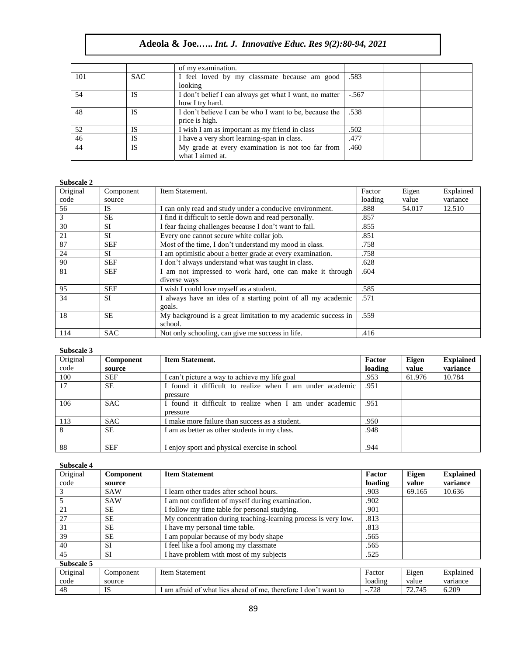|     |            | of my examination.                                     |         |  |
|-----|------------|--------------------------------------------------------|---------|--|
| 101 | <b>SAC</b> | I feel loved by my classmate because am good           | .583    |  |
|     |            | looking                                                |         |  |
| 54  | IS         | I don't belief I can always get what I want, no matter | $-.567$ |  |
|     |            | how I try hard.                                        |         |  |
| 48  | IS         | I don't believe I can be who I want to be, because the | .538    |  |
|     |            | price is high.                                         |         |  |
| 52  | IS         | I wish I am as important as my friend in class         | .502    |  |
| 46  | <b>IS</b>  | I have a very short learning-span in class.            | .477    |  |
| 44  | <b>IS</b>  | My grade at every examination is not too far from      | .460    |  |
|     |            | what I aimed at.                                       |         |  |

#### **Subscale 2**

| DUDSLAIC <i>4</i> |            |                                                                          |         |        |           |
|-------------------|------------|--------------------------------------------------------------------------|---------|--------|-----------|
| Original          | Component  | Item Statement.                                                          | Factor  | Eigen  | Explained |
| code              | source     |                                                                          | loading | value  | variance  |
| 56                | <b>IS</b>  | I can only read and study under a conducive environment.                 | .888    | 54.017 | 12.510    |
| 3                 | <b>SE</b>  | I find it difficult to settle down and read personally.                  | .857    |        |           |
| 30                | <b>SI</b>  | I fear facing challenges because I don't want to fail.                   | .855    |        |           |
| 21                | <b>SI</b>  | Every one cannot secure white collar job.                                | .851    |        |           |
| 87                | <b>SEF</b> | Most of the time, I don't understand my mood in class.                   | .758    |        |           |
| 24                | <b>SI</b>  | I am optimistic about a better grade at every examination.               | .758    |        |           |
| 90                | <b>SEF</b> | I don't always understand what was taught in class.                      | .628    |        |           |
| 81                | <b>SEF</b> | am not impressed to work hard, one can make it through<br>diverse ways   | .604    |        |           |
| 95                | <b>SEF</b> | I wish I could love myself as a student.                                 | .585    |        |           |
| 34                | <b>SI</b>  | I always have an idea of a starting point of all my academic<br>goals.   | .571    |        |           |
| 18                | <b>SE</b>  | My background is a great limitation to my academic success in<br>school. | .559    |        |           |
| 114               | <b>SAC</b> | Not only schooling, can give me success in life.                         | .416    |        |           |

#### **Subscale 3**

| Original | Component  | <b>Item Statement.</b>                                   | Factor  | Eigen  | <b>Explained</b> |
|----------|------------|----------------------------------------------------------|---------|--------|------------------|
| code     | source     |                                                          | loading | value  | variance         |
| 100      | <b>SEF</b> | I can't picture a way to achieve my life goal            | .953    | 61.976 | 10.784           |
| 17       | <b>SE</b>  | I found it difficult to realize when I am under academic | .951    |        |                  |
|          |            | pressure                                                 |         |        |                  |
| 106      | SAC.       | I found it difficult to realize when I am under academic | .951    |        |                  |
|          |            | pressure                                                 |         |        |                  |
| 113      | SAC.       | I make more failure than success as a student.           | .950    |        |                  |
| 8        | <b>SE</b>  | I am as better as other students in my class.            | .948    |        |                  |
|          |            |                                                          |         |        |                  |
| 88       | <b>SEF</b> | I enjoy sport and physical exercise in school            | .944    |        |                  |

#### **Subscale 4**

| Original   | Component  | <b>Item Statement</b>                                           | Factor  | Eigen  | <b>Explained</b> |
|------------|------------|-----------------------------------------------------------------|---------|--------|------------------|
| code       | source     |                                                                 | loading | value  | variance         |
|            | <b>SAW</b> | I learn other trades after school hours.                        | .903    | 69.165 | 10.636           |
|            | <b>SAW</b> | I am not confident of myself during examination.                | .902    |        |                  |
| 21         | <b>SE</b>  | I follow my time table for personal studying.                   | .901    |        |                  |
| 27         | <b>SE</b>  | My concentration during teaching-learning process is very low.  | .813    |        |                  |
| 31         | <b>SE</b>  | I have my personal time table.                                  | .813    |        |                  |
| 39         | <b>SE</b>  | I am popular because of my body shape                           | .565    |        |                  |
| 40         | <b>SI</b>  | I feel like a fool among my classmate                           | .565    |        |                  |
| 45         | <b>SI</b>  | I have problem with most of my subjects                         | .525    |        |                  |
| Subscale 5 |            |                                                                 |         |        |                  |
| Original   | Component  | <b>Item Statement</b>                                           | Factor  | Eigen  | Explained        |
| code       | source     |                                                                 | loading | value  | variance         |
| 48         | <b>IS</b>  | I am afraid of what lies ahead of me, therefore I don't want to | $-.728$ | 72.745 | 6.209            |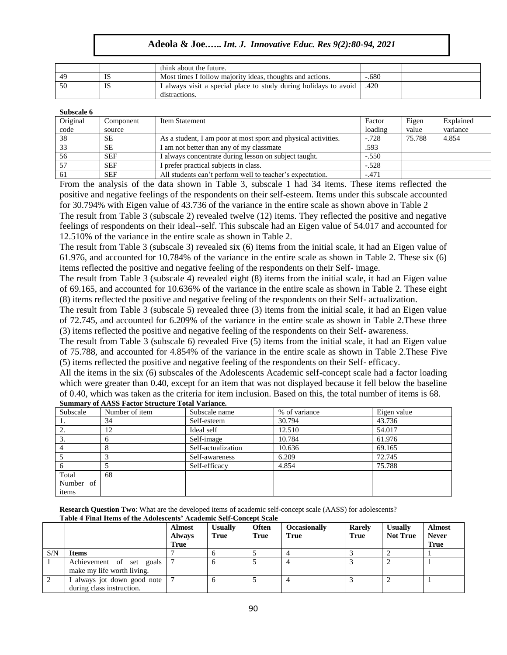|     |    | think about the future.                                          |         |  |
|-----|----|------------------------------------------------------------------|---------|--|
| 4e  | הו | Most times I follow majority ideas, thoughts and actions.        | $-.680$ |  |
| .50 | Ю  | I always visit a special place to study during holidays to avoid | .420    |  |
|     |    | distractions.                                                    |         |  |

**Subscale 6**

| <b>Subscale</b> 0 |            |                                                                |         |        |           |
|-------------------|------------|----------------------------------------------------------------|---------|--------|-----------|
| Original          | Component  | Item Statement                                                 | Factor  | Eigen  | Explained |
| code              | source     |                                                                | loading | value  | variance  |
| 38                | <b>SE</b>  | As a student, I am poor at most sport and physical activities. | $-.728$ | 75.788 | 4.854     |
| 33                | <b>SE</b>  | I am not better than any of my classmate                       | .593    |        |           |
| 56                | <b>SEF</b> | I always concentrate during lesson on subject taught.          | $-.550$ |        |           |
|                   | <b>SEF</b> | I prefer practical subjects in class.                          | $-.528$ |        |           |
| -61               | <b>SEF</b> | All students can't perform well to teacher's expectation.      | $-.471$ |        |           |

From the analysis of the data shown in Table 3, subscale 1 had 34 items. These items reflected the positive and negative feelings of the respondents on their self-esteem. Items under this subscale accounted for 30.794% with Eigen value of 43.736 of the variance in the entire scale as shown above in Table 2 The result from Table 3 (subscale 2) revealed twelve (12) items. They reflected the positive and negative feelings of respondents on their ideal--self. This subscale had an Eigen value of 54.017 and accounted for 12.510% of the variance in the entire scale as shown in Table 2.

The result from Table 3 (subscale 3) revealed six (6) items from the initial scale, it had an Eigen value of 61.976, and accounted for 10.784% of the variance in the entire scale as shown in Table 2. These six (6) items reflected the positive and negative feeling of the respondents on their Self- image.

The result from Table 3 (subscale 4) revealed eight (8) items from the initial scale, it had an Eigen value of 69.165, and accounted for 10.636% of the variance in the entire scale as shown in Table 2. These eight (8) items reflected the positive and negative feeling of the respondents on their Self- actualization.

The result from Table 3 (subscale 5) revealed three (3) items from the initial scale, it had an Eigen value of 72.745, and accounted for 6.209% of the variance in the entire scale as shown in Table 2.These three (3) items reflected the positive and negative feeling of the respondents on their Self- awareness.

The result from Table 3 (subscale 6) revealed Five (5) items from the initial scale, it had an Eigen value of 75.788, and accounted for 4.854% of the variance in the entire scale as shown in Table 2.These Five (5) items reflected the positive and negative feeling of the respondents on their Self- efficacy.

All the items in the six (6) subscales of the Adolescents Academic self-concept scale had a factor loading which were greater than 0.40, except for an item that was not displayed because it fell below the baseline of 0.40, which was taken as the criteria for item inclusion. Based on this, the total number of items is 68.

| Subscale  | Number of item | Subscale name      | % of variance | Eigen value |
|-----------|----------------|--------------------|---------------|-------------|
| .,        | 34             | Self-esteem        | 30.794        | 43.736      |
|           | 12             | Ideal self         | 12.510        | 54.017      |
|           |                | Self-image         | 10.784        | 61.976      |
|           |                | Self-actualization | 10.636        | 69.165      |
|           |                | Self-awareness     | 6.209         | 72.745      |
|           |                | Self-efficacy      | 4.854         | 75.788      |
| Total     | 68             |                    |               |             |
| Number of |                |                    |               |             |
| items     |                |                    |               |             |

**Summary of AASS Factor Structure Total Variance.**

**Research Question Two**: What are the developed items of academic self-concept scale (AASS) for adolescents? **Table 4 Final Items of the Adolescents' Academic Self-Concept Scale** 

|     |                                                             | <b>Almost</b><br><b>Always</b><br>True | <b>Usually</b><br><b>True</b> | <b>Often</b><br><b>True</b> | <b>Occasionally</b><br><b>True</b> | <b>Rarely</b><br>True | <b>Usually</b><br><b>Not True</b> | <b>Almost</b><br><b>Never</b><br><b>True</b> |
|-----|-------------------------------------------------------------|----------------------------------------|-------------------------------|-----------------------------|------------------------------------|-----------------------|-----------------------------------|----------------------------------------------|
| S/N | <b>Items</b>                                                |                                        | O                             |                             |                                    |                       |                                   |                                              |
|     | Achievement of set<br>goals 1<br>make my life worth living. |                                        | 6                             |                             |                                    |                       |                                   |                                              |
|     | I always jot down good note<br>during class instruction.    |                                        | O                             |                             |                                    |                       |                                   |                                              |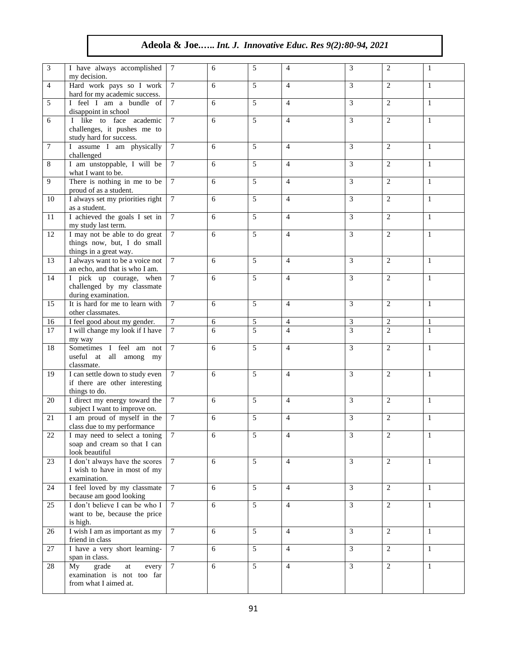| $\mathfrak{Z}$  | I have always accomplished<br>my decision.                                             | 7               | 6 | 5               | $\overline{4}$ | 3              | 2              | 1            |
|-----------------|----------------------------------------------------------------------------------------|-----------------|---|-----------------|----------------|----------------|----------------|--------------|
| $\overline{4}$  | Hard work pays so I work<br>hard for my academic success.                              | $7\phantom{.0}$ | 6 | 5               | $\overline{4}$ | 3              | 2              | $\mathbf{1}$ |
| 5               | I feel I am a bundle of<br>disappoint in school                                        | $\tau$          | 6 | $\overline{5}$  | $\overline{4}$ | 3              | $\mathbf{2}$   | $\mathbf{1}$ |
| 6               | I like to face academic<br>challenges, it pushes me to<br>study hard for success.      | $\tau$          | 6 | 5               | $\overline{4}$ | 3              | 2              | $\mathbf{1}$ |
| $7\phantom{.0}$ | I assume I am physically<br>challenged                                                 | $\tau$          | 6 | 5               | $\overline{4}$ | 3              | 2              | $\mathbf{1}$ |
| 8               | I am unstoppable, I will be<br>what I want to be.                                      | $\tau$          | 6 | 5               | $\overline{4}$ | 3              | 2              | 1            |
| 9               | There is nothing in me to be<br>proud of as a student.                                 | $\overline{7}$  | 6 | $\overline{5}$  | $\overline{4}$ | 3              | $\overline{2}$ | $\mathbf{1}$ |
| 10              | I always set my priorities right<br>as a student.                                      | $\tau$          | 6 | 5               | $\overline{4}$ | 3              | $\overline{c}$ | $\mathbf{1}$ |
| 11              | I achieved the goals I set in<br>my study last term.                                   | $7\phantom{.0}$ | 6 | 5               | $\overline{4}$ | 3              | 2              | $\mathbf{1}$ |
| 12              | I may not be able to do great<br>things now, but, I do small<br>things in a great way. | $\tau$          | 6 | 5               | $\overline{4}$ | 3              | 2              | 1            |
| 13              | I always want to be a voice not<br>an echo, and that is who I am.                      | $\tau$          | 6 | $\overline{5}$  | $\overline{4}$ | 3              | $\mathbf{2}$   | $\mathbf{1}$ |
| 14              | I pick up courage, when<br>challenged by my classmate<br>during examination.           | 7               | 6 | 5               | $\overline{4}$ | $\overline{3}$ | $\overline{2}$ | 1            |
| 15              | It is hard for me to learn with<br>other classmates.                                   | $\tau$          | 6 | 5               | $\overline{4}$ | 3              | 2              | $\mathbf{1}$ |
| 16              | I feel good about my gender.                                                           | $\overline{7}$  | 6 | $\overline{5}$  | $\overline{4}$ | $\mathfrak{Z}$ | $\mathbf{2}$   | 1            |
| 17              | I will change my look if I have<br>my way                                              | $\tau$          | 6 | 5               | $\overline{4}$ | 3              | $\overline{2}$ | $\mathbf{1}$ |
| 18              | Sometimes I feel am not<br>useful at all among my<br>classmate.                        | $\tau$          | 6 | 5               | $\overline{4}$ | 3              | $\overline{c}$ | 1            |
| 19              | I can settle down to study even<br>if there are other interesting<br>things to do.     | $\tau$          | 6 | $\overline{5}$  | $\overline{4}$ | 3              | $\overline{2}$ | $\mathbf{1}$ |
| 20              | I direct my energy toward the<br>subject I want to improve on.                         | $\tau$          | 6 | 5               | $\overline{4}$ | 3              | $\overline{2}$ | $\mathbf{1}$ |
| 21              | I am proud of myself in the<br>class due to my performance                             | 7               | 6 | 5               | $\overline{4}$ | 3              | 2              | 1            |
| 22              | I may need to select a toning<br>soap and cream so that I can<br>look beautiful        | $\tau$          | 6 | 5               | $\overline{4}$ | 3              | $\overline{c}$ | $\mathbf{1}$ |
| 23              | I don't always have the scores<br>I wish to have in most of my<br>examination.         | $7\phantom{.0}$ | 6 | 5               | $\overline{4}$ | 3              | $\overline{2}$ | 1            |
| 24              | I feel loved by my classmate<br>because am good looking                                | $7\phantom{.0}$ | 6 | 5               | $\overline{4}$ | $\mathfrak{Z}$ | $\overline{2}$ | $\mathbf{1}$ |
| 25              | I don't believe I can be who I<br>want to be, because the price<br>is high.            | $\overline{7}$  | 6 | $\overline{5}$  | $\overline{4}$ | $\overline{3}$ | $\overline{2}$ | $\mathbf{1}$ |
| 26              | I wish I am as important as my<br>friend in class                                      | $7\phantom{.0}$ | 6 | 5               | $\overline{4}$ | $\mathfrak{Z}$ | $\overline{2}$ | $\mathbf{1}$ |
| 27              | I have a very short learning-<br>span in class.                                        | $7\phantom{.0}$ | 6 | 5               | $\overline{4}$ | $\overline{3}$ | 2              | $\mathbf{1}$ |
| 28              | grade<br>My<br>at<br>every<br>examination is not too far<br>from what I aimed at.      | $\tau$          | 6 | $5\overline{)}$ | $\overline{4}$ | 3              | 2              | $\mathbf{1}$ |
|                 |                                                                                        |                 |   |                 |                |                |                |              |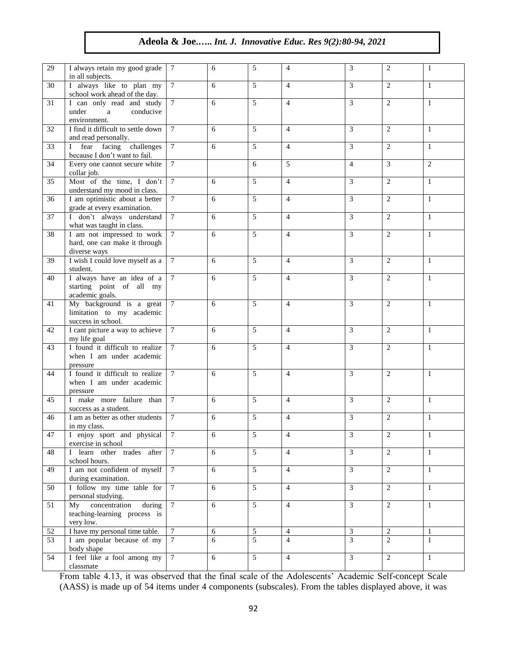| 29 | I always retain my good grade<br>in all subjects.                           | 7               | 6     | 5              | $\overline{4}$ | 3              | 2              | 1            |
|----|-----------------------------------------------------------------------------|-----------------|-------|----------------|----------------|----------------|----------------|--------------|
| 30 | I always like to plan my<br>school work ahead of the day.                   | $\tau$          | 6     | 5              | $\overline{4}$ | 3              | 2              | 1            |
| 31 | I can only read and study<br>under<br>conducive<br>a<br>environment.        | $\tau$          | 6     | $\overline{5}$ | $\overline{4}$ | 3              | 2              | $\mathbf{1}$ |
| 32 | I find it difficult to settle down<br>and read personally.                  | 7               | 6     | $\overline{5}$ | $\overline{4}$ | 3              | $\overline{c}$ | $\mathbf{1}$ |
| 33 | I fear facing challenges<br>because I don't want to fail.                   | $\overline{7}$  | 6     | $\overline{5}$ | $\overline{4}$ | 3              | 2              | $\mathbf{1}$ |
| 34 | Every one cannot secure white<br>collar job.                                | 7               |       | 6              | 5              | $\overline{4}$ | 3              | 2            |
| 35 | Most of the time, I don't<br>understand my mood in class.                   | $\tau$          | 6     | $\overline{5}$ | $\overline{4}$ | 3              | $\overline{c}$ | $\mathbf{1}$ |
| 36 | I am optimistic about a better<br>grade at every examination.               | $7\phantom{.0}$ | 6     | 5              | $\overline{4}$ | $\overline{3}$ | 2              | $\mathbf{1}$ |
| 37 | I don't always understand<br>what was taught in class.                      | $\tau$          | 6     | 5              | $\overline{4}$ | 3              | 2              | $\mathbf{1}$ |
| 38 | I am not impressed to work<br>hard, one can make it through<br>diverse ways | $\tau$          | 6     | 5              | $\overline{4}$ | 3              | 2              | 1            |
| 39 | I wish I could love myself as a<br>student.                                 | $\tau$          | 6     | 5              | $\overline{4}$ | 3              | 2              | $\mathbf{1}$ |
| 40 | I always have an idea of a<br>starting point of all my<br>academic goals.   | $7\phantom{.0}$ | 6     | 5              | $\overline{4}$ | 3              | $\mathbf{2}$   | $\mathbf{1}$ |
| 41 | My background is a great<br>limitation to my academic<br>success in school. | $\tau$          | 6     | 5              | $\overline{4}$ | 3              | 2              | $\mathbf{1}$ |
| 42 | I cant picture a way to achieve<br>my life goal                             | $\tau$          | 6     | 5              | $\overline{4}$ | 3              | 2              | $\mathbf{1}$ |
| 43 | I found it difficult to realize<br>when I am under academic<br>pressure     | $\tau$          | 6     | 5              | $\overline{4}$ | 3              | 2              | 1            |
| 44 | I found it difficult to realize<br>when I am under academic<br>pressure     | 7               | 6     | 5              | $\overline{4}$ | 3              | 2              | 1            |
| 45 | I make more failure than<br>success as a student.                           | $\tau$          | 6     | 5              | $\overline{4}$ | 3              | 2              | 1            |
| 46 | I am as better as other students<br>in my class.                            | 7               | 6     | 5              | $\overline{4}$ | 3              | 2              | 1            |
| 47 | I enjoy sport and physical<br>exercise in school                            | 7               | 6     | 5              | 4              | 3              | 2              | 1            |
| 48 | I learn other trades after<br>school hours.                                 | $7\phantom{.0}$ | 6     | 5              | $\overline{4}$ | $\mathfrak{Z}$ | $\overline{2}$ | $\mathbf{1}$ |
| 49 | I am not confident of myself<br>during examination.                         | $7\phantom{.0}$ | 6     | 5              | $\overline{4}$ | $\overline{3}$ | 2              | $\mathbf{1}$ |
| 50 | I follow my time table for<br>personal studying.                            | $7\phantom{.0}$ | 6     | $\overline{5}$ | $\overline{4}$ | $\mathfrak{Z}$ | 2              | $\mathbf{1}$ |
| 51 | My concentration<br>during<br>teaching-learning process is<br>very low.     | $\overline{7}$  | 6     | $\overline{5}$ | $\overline{4}$ | $\overline{3}$ | 2              | $\mathbf{1}$ |
| 52 | I have my personal time table.                                              | $7\phantom{.0}$ | $6\,$ | $\mathfrak{S}$ | $\overline{4}$ | $\overline{3}$ | $\overline{2}$ | 1            |
| 53 | I am popular because of my<br>body shape                                    | 7               | 6     | $\overline{5}$ | $\overline{4}$ | $\overline{3}$ | $\overline{2}$ | $\mathbf{1}$ |
| 54 | I feel like a fool among my<br>classmate                                    | $7\phantom{.0}$ | 6     | $\overline{5}$ | $\overline{4}$ | $\overline{3}$ | $\overline{2}$ | $\mathbf{1}$ |

From table 4.13, it was observed that the final scale of the Adolescents' Academic Self-concept Scale (AASS) is made up of 54 items under 4 components (subscales). From the tables displayed above, it was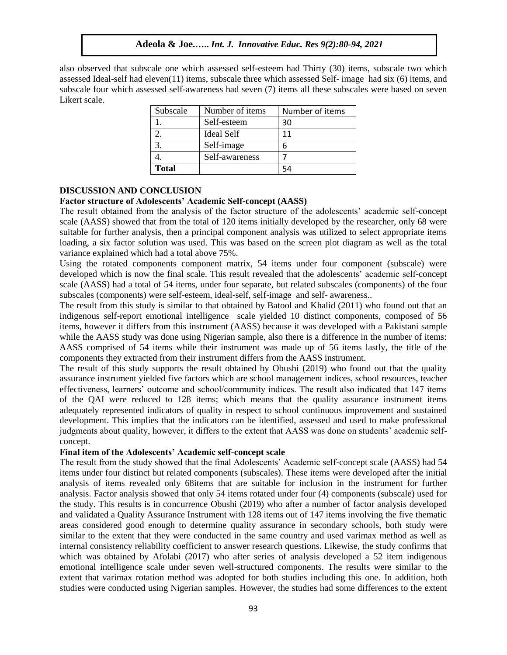also observed that subscale one which assessed self-esteem had Thirty (30) items, subscale two which assessed Ideal-self had eleven(11) items, subscale three which assessed Self- image had six (6) items, and subscale four which assessed self-awareness had seven (7) items all these subscales were based on seven Likert scale.

| Subscale     | Number of items   | Number of items |
|--------------|-------------------|-----------------|
|              | Self-esteem       | 30              |
|              | <b>Ideal Self</b> | 11              |
| 3.           | Self-image        | 6               |
|              | Self-awareness    |                 |
| <b>Total</b> |                   | 54              |

# **DISCUSSION AND CONCLUSION**

#### **Factor structure of Adolescents' Academic Self-concept (AASS)**

The result obtained from the analysis of the factor structure of the adolescents' academic self-concept scale (AASS) showed that from the total of 120 items initially developed by the researcher, only 68 were suitable for further analysis, then a principal component analysis was utilized to select appropriate items loading, a six factor solution was used. This was based on the screen plot diagram as well as the total variance explained which had a total above 75%.

Using the rotated components component matrix, 54 items under four component (subscale) were developed which is now the final scale. This result revealed that the adolescents' academic self-concept scale (AASS) had a total of 54 items, under four separate, but related subscales (components) of the four subscales (components) were self-esteem, ideal-self, self-image and self- awareness..

The result from this study is similar to that obtained by Batool and Khalid (2011) who found out that an indigenous self-report emotional intelligence scale yielded 10 distinct components, composed of 56 items, however it differs from this instrument (AASS) because it was developed with a Pakistani sample while the AASS study was done using Nigerian sample, also there is a difference in the number of items: AASS comprised of 54 items while their instrument was made up of 56 items lastly, the title of the components they extracted from their instrument differs from the AASS instrument.

The result of this study supports the result obtained by Obushi (2019) who found out that the quality assurance instrument yielded five factors which are school management indices, school resources, teacher effectiveness, learners' outcome and school/community indices. The result also indicated that 147 items of the QAI were reduced to 128 items; which means that the quality assurance instrument items adequately represented indicators of quality in respect to school continuous improvement and sustained development. This implies that the indicators can be identified, assessed and used to make professional judgments about quality, however, it differs to the extent that AASS was done on students' academic selfconcept.

#### **Final item of the Adolescents' Academic self-concept scale**

The result from the study showed that the final Adolescents' Academic self-concept scale (AASS) had 54 items under four distinct but related components (subscales). These items were developed after the initial analysis of items revealed only 68items that are suitable for inclusion in the instrument for further analysis. Factor analysis showed that only 54 items rotated under four (4) components (subscale) used for the study. This results is in concurrence Obushi (2019) who after a number of factor analysis developed and validated a Quality Assurance Instrument with 128 items out of 147 items involving the five thematic areas considered good enough to determine quality assurance in secondary schools, both study were similar to the extent that they were conducted in the same country and used varimax method as well as internal consistency reliability coefficient to answer research questions. Likewise, the study confirms that which was obtained by Afolabi (2017) who after series of analysis developed a 52 item indigenous emotional intelligence scale under seven well-structured components. The results were similar to the extent that varimax rotation method was adopted for both studies including this one. In addition, both studies were conducted using Nigerian samples. However, the studies had some differences to the extent